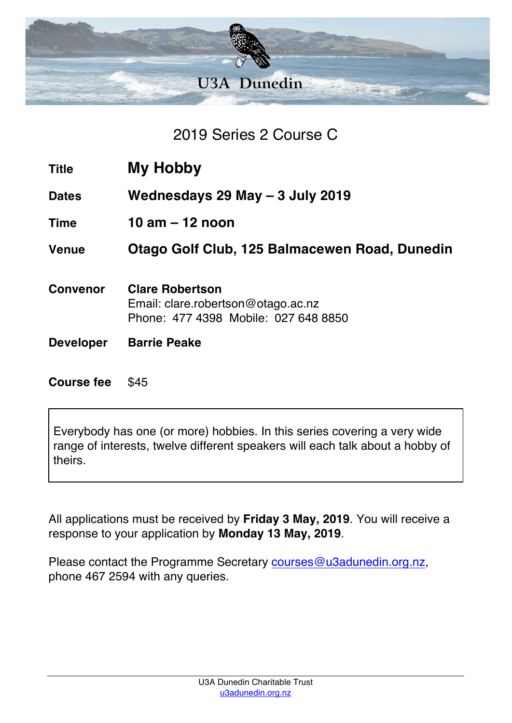

2019 Series 2 Course C

| Title | <b>My Hobby</b> |
|-------|-----------------|
|-------|-----------------|

**Dates Wednesdays 29 May – 3 July 2019**

**Time 10 am – 12 noon**

**Venue Otago Golf Club, 125 Balmacewen Road, Dunedin**

- **Convenor Clare Robertson** Email: clare.robertson@otago.ac.nz Phone: 477 4398 Mobile: 027 648 8850
- **Developer Barrie Peake**

**Course fee** \$45

Everybody has one (or more) hobbies. In this series covering a very wide range of interests, twelve different speakers will each talk about a hobby of theirs.

All applications must be received by **Friday 3 May, 2019**. You will receive a response to your application by **Monday 13 May, 2019**.

Please contact the Programme Secretary courses@u3adunedin.org.nz, phone 467 2594 with any queries.